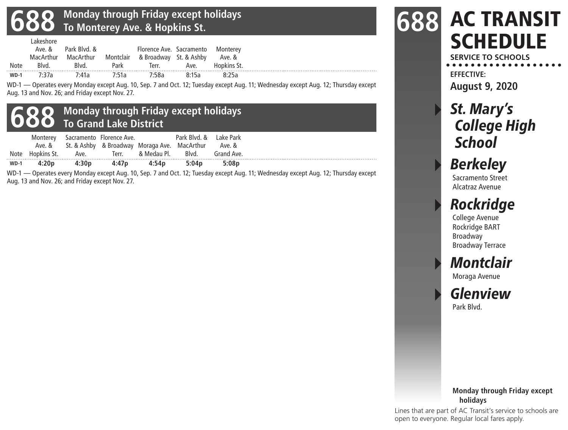#### **688 Monday through Friday except holidays To Monterey Ave. & Hopkins St.**

|        |       | Ave. & Park Blyd. &                   |      | Florence Ave. Sacramento Monterey<br>MacArthur MacArthur Montclair & Broadway St. & Ashby Ave. & |       |       |  |
|--------|-------|---------------------------------------|------|--------------------------------------------------------------------------------------------------|-------|-------|--|
| Note   | Blvd. | Blvd.                                 | Park |                                                                                                  |       |       |  |
| $WD-1$ | 1:37a | 7 <sup>.</sup> 41a 7 <sup>.</sup> 51a |      | 7:58a                                                                                            | 8:15a | 8.25a |  |

WD-1 — Operates every Monday except Aug. 10, Sep. 7 and Oct. 12; Tuesday except Aug. 11; Wednesday except Aug. 12; Thursday except Aug. 13 and Nov. 26; and Friday except Nov. 27.



| $WD-1$ |  |                                                                                                    |                        |  |
|--------|--|----------------------------------------------------------------------------------------------------|------------------------|--|
|        |  | Note Hopkins St. Ave.                                 & Medau Pl.         Blvd.         Grand Ave. |                        |  |
|        |  | Ave. & St. & Ashby & Broadway Moraga Ave. MacArthur Ave. &                                         |                        |  |
|        |  | Monterey Sacramento Florence Ave.                                                                  | Park Blyd. & Lake Park |  |

WD-1 — Operates every Monday except Aug. 10, Sep. 7 and Oct. 12; Tuesday except Aug. 11; Wednesday except Aug. 12; Thursday except Aug. 13 and Nov. 26; and Friday except Nov. 27.

#### AC TRANSIT **SCHEDULE 688**

**SERVICE TO SCHOOLS EFFECTIVE:**

**August 9, 2020**

### St. Mary's College High **School**

# **Berkeley**

Sacramento Street Alcatraz Avenue

## **Rockridge**

College Avenue Rockridge BART Broadway Broadway Terrace

## **Montclair**

Moraga Avenue

**Glenview** Park Blvd.

#### **Monday through Friday except holidays**

Lines that are part of AC Transit's service to schools are open to everyone. Regular local fares apply.